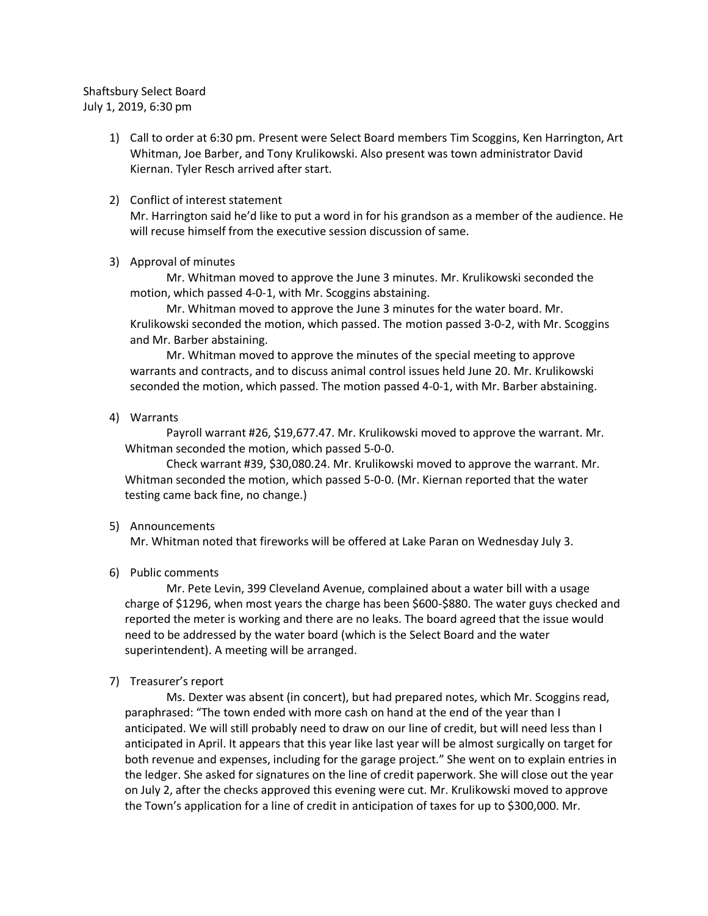# Shaftsbury Select Board July 1, 2019, 6:30 pm

1) Call to order at 6:30 pm. Present were Select Board members Tim Scoggins, Ken Harrington, Art Whitman, Joe Barber, and Tony Krulikowski. Also present was town administrator David Kiernan. Tyler Resch arrived after start.

### 2) Conflict of interest statement

Mr. Harrington said he'd like to put a word in for his grandson as a member of the audience. He will recuse himself from the executive session discussion of same.

#### 3) Approval of minutes

Mr. Whitman moved to approve the June 3 minutes. Mr. Krulikowski seconded the motion, which passed 4-0-1, with Mr. Scoggins abstaining.

Mr. Whitman moved to approve the June 3 minutes for the water board. Mr. Krulikowski seconded the motion, which passed. The motion passed 3-0-2, with Mr. Scoggins and Mr. Barber abstaining.

Mr. Whitman moved to approve the minutes of the special meeting to approve warrants and contracts, and to discuss animal control issues held June 20. Mr. Krulikowski seconded the motion, which passed. The motion passed 4-0-1, with Mr. Barber abstaining.

# 4) Warrants

Payroll warrant #26, \$19,677.47. Mr. Krulikowski moved to approve the warrant. Mr. Whitman seconded the motion, which passed 5-0-0.

Check warrant #39, \$30,080.24. Mr. Krulikowski moved to approve the warrant. Mr. Whitman seconded the motion, which passed 5-0-0. (Mr. Kiernan reported that the water testing came back fine, no change.)

# 5) Announcements

Mr. Whitman noted that fireworks will be offered at Lake Paran on Wednesday July 3.

# 6) Public comments

Mr. Pete Levin, 399 Cleveland Avenue, complained about a water bill with a usage charge of \$1296, when most years the charge has been \$600-\$880. The water guys checked and reported the meter is working and there are no leaks. The board agreed that the issue would need to be addressed by the water board (which is the Select Board and the water superintendent). A meeting will be arranged.

# 7) Treasurer's report

Ms. Dexter was absent (in concert), but had prepared notes, which Mr. Scoggins read, paraphrased: "The town ended with more cash on hand at the end of the year than I anticipated. We will still probably need to draw on our line of credit, but will need less than I anticipated in April. It appears that this year like last year will be almost surgically on target for both revenue and expenses, including for the garage project." She went on to explain entries in the ledger. She asked for signatures on the line of credit paperwork. She will close out the year on July 2, after the checks approved this evening were cut. Mr. Krulikowski moved to approve the Town's application for a line of credit in anticipation of taxes for up to \$300,000. Mr.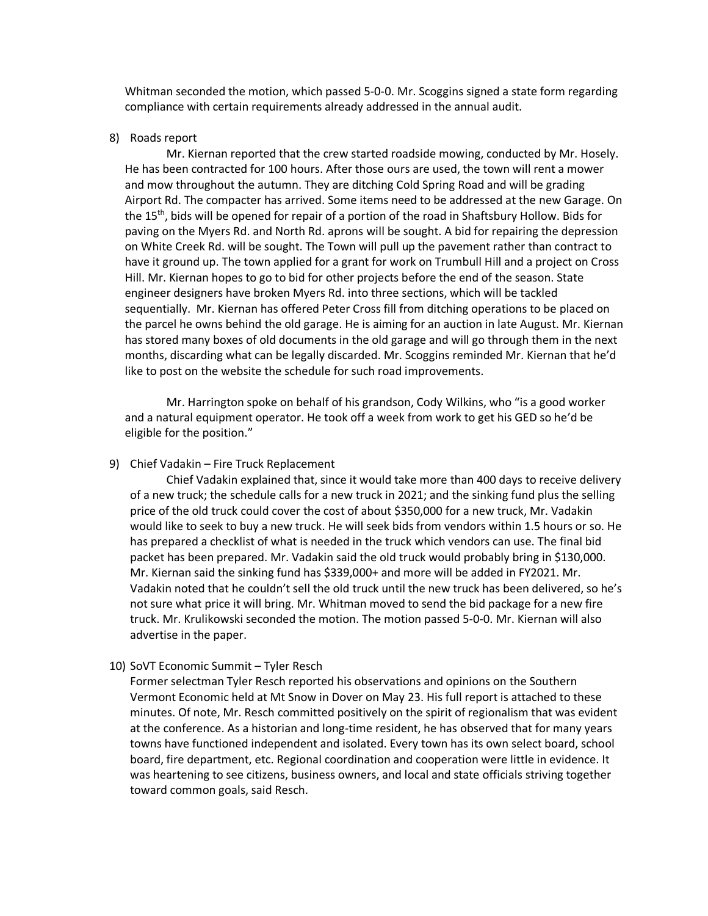Whitman seconded the motion, which passed 5-0-0. Mr. Scoggins signed a state form regarding compliance with certain requirements already addressed in the annual audit.

8) Roads report

Mr. Kiernan reported that the crew started roadside mowing, conducted by Mr. Hosely. He has been contracted for 100 hours. After those ours are used, the town will rent a mower and mow throughout the autumn. They are ditching Cold Spring Road and will be grading Airport Rd. The compacter has arrived. Some items need to be addressed at the new Garage. On the 15th, bids will be opened for repair of a portion of the road in Shaftsbury Hollow. Bids for paving on the Myers Rd. and North Rd. aprons will be sought. A bid for repairing the depression on White Creek Rd. will be sought. The Town will pull up the pavement rather than contract to have it ground up. The town applied for a grant for work on Trumbull Hill and a project on Cross Hill. Mr. Kiernan hopes to go to bid for other projects before the end of the season. State engineer designers have broken Myers Rd. into three sections, which will be tackled sequentially. Mr. Kiernan has offered Peter Cross fill from ditching operations to be placed on the parcel he owns behind the old garage. He is aiming for an auction in late August. Mr. Kiernan has stored many boxes of old documents in the old garage and will go through them in the next months, discarding what can be legally discarded. Mr. Scoggins reminded Mr. Kiernan that he'd like to post on the website the schedule for such road improvements.

Mr. Harrington spoke on behalf of his grandson, Cody Wilkins, who "is a good worker and a natural equipment operator. He took off a week from work to get his GED so he'd be eligible for the position."

9) Chief Vadakin – Fire Truck Replacement

Chief Vadakin explained that, since it would take more than 400 days to receive delivery of a new truck; the schedule calls for a new truck in 2021; and the sinking fund plus the selling price of the old truck could cover the cost of about \$350,000 for a new truck, Mr. Vadakin would like to seek to buy a new truck. He will seek bids from vendors within 1.5 hours or so. He has prepared a checklist of what is needed in the truck which vendors can use. The final bid packet has been prepared. Mr. Vadakin said the old truck would probably bring in \$130,000. Mr. Kiernan said the sinking fund has \$339,000+ and more will be added in FY2021. Mr. Vadakin noted that he couldn't sell the old truck until the new truck has been delivered, so he's not sure what price it will bring. Mr. Whitman moved to send the bid package for a new fire truck. Mr. Krulikowski seconded the motion. The motion passed 5-0-0. Mr. Kiernan will also advertise in the paper.

10) SoVT Economic Summit – Tyler Resch

Former selectman Tyler Resch reported his observations and opinions on the Southern Vermont Economic held at Mt Snow in Dover on May 23. His full report is attached to these minutes. Of note, Mr. Resch committed positively on the spirit of regionalism that was evident at the conference. As a historian and long-time resident, he has observed that for many years towns have functioned independent and isolated. Every town has its own select board, school board, fire department, etc. Regional coordination and cooperation were little in evidence. It was heartening to see citizens, business owners, and local and state officials striving together toward common goals, said Resch.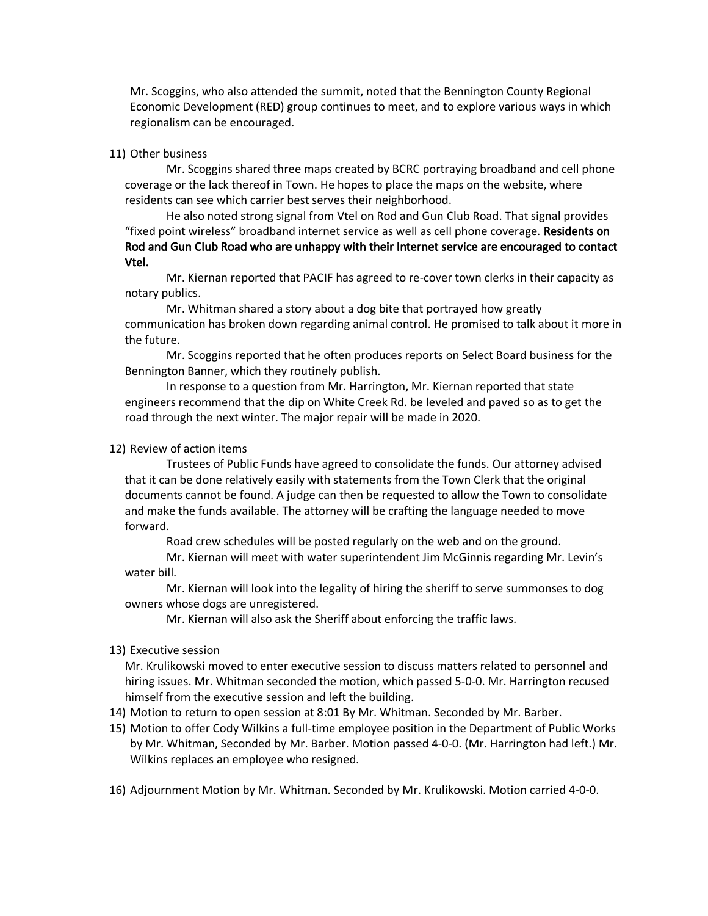Mr. Scoggins, who also attended the summit, noted that the Bennington County Regional Economic Development (RED) group continues to meet, and to explore various ways in which regionalism can be encouraged.

#### 11) Other business

Mr. Scoggins shared three maps created by BCRC portraying broadband and cell phone coverage or the lack thereof in Town. He hopes to place the maps on the website, where residents can see which carrier best serves their neighborhood.

He also noted strong signal from Vtel on Rod and Gun Club Road. That signal provides "fixed point wireless" broadband internet service as well as cell phone coverage. Residents on Rod and Gun Club Road who are unhappy with their Internet service are encouraged to contact Vtel.

Mr. Kiernan reported that PACIF has agreed to re-cover town clerks in their capacity as notary publics.

Mr. Whitman shared a story about a dog bite that portrayed how greatly communication has broken down regarding animal control. He promised to talk about it more in the future.

Mr. Scoggins reported that he often produces reports on Select Board business for the Bennington Banner, which they routinely publish.

In response to a question from Mr. Harrington, Mr. Kiernan reported that state engineers recommend that the dip on White Creek Rd. be leveled and paved so as to get the road through the next winter. The major repair will be made in 2020.

#### 12) Review of action items

Trustees of Public Funds have agreed to consolidate the funds. Our attorney advised that it can be done relatively easily with statements from the Town Clerk that the original documents cannot be found. A judge can then be requested to allow the Town to consolidate and make the funds available. The attorney will be crafting the language needed to move forward.

Road crew schedules will be posted regularly on the web and on the ground.

Mr. Kiernan will meet with water superintendent Jim McGinnis regarding Mr. Levin's water bill.

Mr. Kiernan will look into the legality of hiring the sheriff to serve summonses to dog owners whose dogs are unregistered.

Mr. Kiernan will also ask the Sheriff about enforcing the traffic laws.

#### 13) Executive session

Mr. Krulikowski moved to enter executive session to discuss matters related to personnel and hiring issues. Mr. Whitman seconded the motion, which passed 5-0-0. Mr. Harrington recused himself from the executive session and left the building.

- 14) Motion to return to open session at 8:01 By Mr. Whitman. Seconded by Mr. Barber.
- 15) Motion to offer Cody Wilkins a full-time employee position in the Department of Public Works by Mr. Whitman, Seconded by Mr. Barber. Motion passed 4-0-0. (Mr. Harrington had left.) Mr. Wilkins replaces an employee who resigned.
- 16) Adjournment Motion by Mr. Whitman. Seconded by Mr. Krulikowski. Motion carried 4-0-0.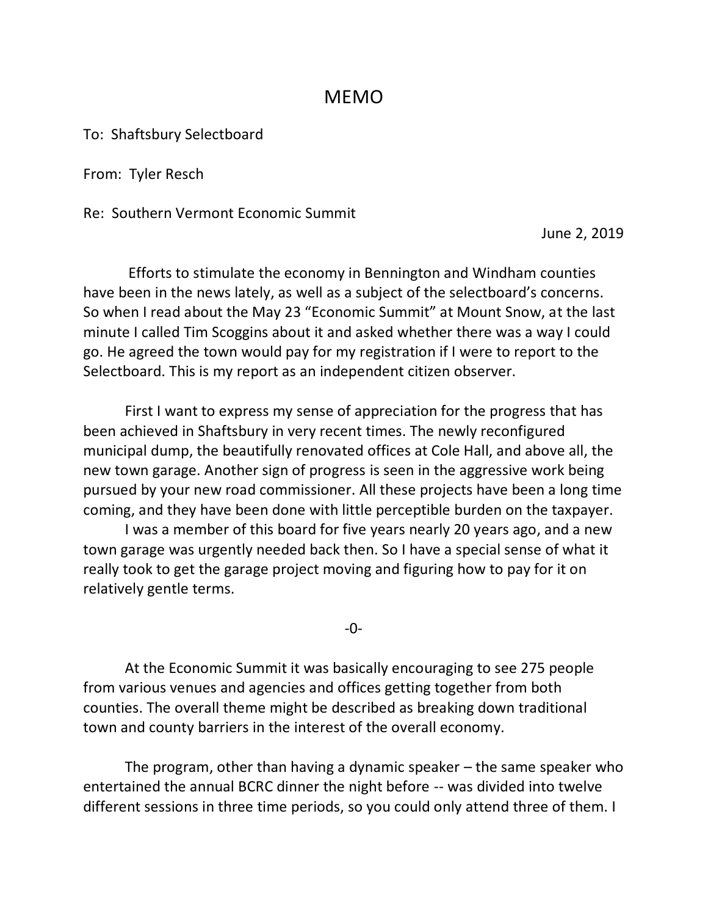# MEMO

To: Shaftsbury Selectboard

From: Tyler Resch

Re: Southern Vermont Economic Summit

June 2, 2019

Efforts to stimulate the economy in Bennington and Windham counties have been in the news lately, as well as a subject of the selectboard's concerns. So when I read about the May 23 "Economic Summit" at Mount Snow, at the last minute I called Tim Scoggins about it and asked whether there was a way I could go. He agreed the town would pay for my registration if I were to report to the Selectboard. This is my report as an independent citizen observer.

First I want to express my sense of appreciation for the progress that has been achieved in Shaftsbury in very recent times. The newly reconfigured municipal dump, the beautifully renovated offices at Cole Hall, and above all, the new town garage. Another sign of progress is seen in the aggressive work being pursued by your new road commissioner. All these projects have been a long time coming, and they have been done with little perceptible burden on the taxpayer.

I was a member of this board for five years nearly 20 years ago, and a new town garage was urgently needed back then. So I have a special sense of what it really took to get the garage project moving and figuring how to pay for it on relatively gentle terms.

-0-

At the Economic Summit it was basically encouraging to see 275 people from various venues and agencies and offices getting together from both counties. The overall theme might be described as breaking down traditional town and county barriers in the interest of the overall economy.

The program, other than having a dynamic speaker – the same speaker who entertained the annual BCRC dinner the night before -- was divided into twelve different sessions in three time periods, so you could only attend three of them. I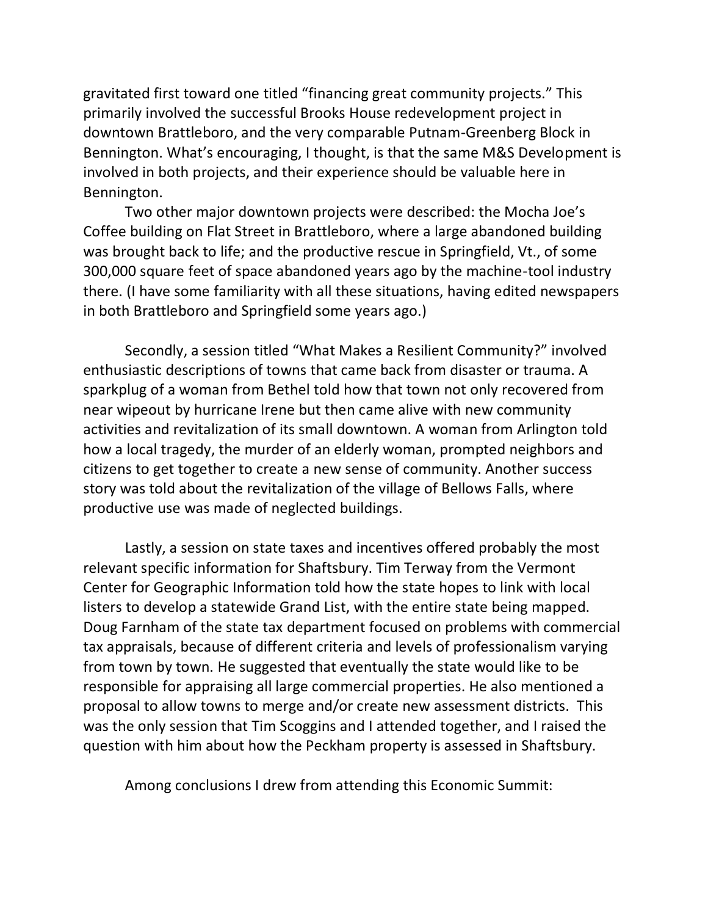gravitated first toward one titled "financing great community projects." This primarily involved the successful Brooks House redevelopment project in downtown Brattleboro, and the very comparable Putnam-Greenberg Block in Bennington. What's encouraging, I thought, is that the same M&S Development is involved in both projects, and their experience should be valuable here in Bennington.

Two other major downtown projects were described: the Mocha Joe's Coffee building on Flat Street in Brattleboro, where a large abandoned building was brought back to life; and the productive rescue in Springfield, Vt., of some 300,000 square feet of space abandoned years ago by the machine-tool industry there. (I have some familiarity with all these situations, having edited newspapers in both Brattleboro and Springfield some years ago.)

Secondly, a session titled "What Makes a Resilient Community?" involved enthusiastic descriptions of towns that came back from disaster or trauma. A sparkplug of a woman from Bethel told how that town not only recovered from near wipeout by hurricane Irene but then came alive with new community activities and revitalization of its small downtown. A woman from Arlington told how a local tragedy, the murder of an elderly woman, prompted neighbors and citizens to get together to create a new sense of community. Another success story was told about the revitalization of the village of Bellows Falls, where productive use was made of neglected buildings.

Lastly, a session on state taxes and incentives offered probably the most relevant specific information for Shaftsbury. Tim Terway from the Vermont Center for Geographic Information told how the state hopes to link with local listers to develop a statewide Grand List, with the entire state being mapped. Doug Farnham of the state tax department focused on problems with commercial tax appraisals, because of different criteria and levels of professionalism varying from town by town. He suggested that eventually the state would like to be responsible for appraising all large commercial properties. He also mentioned a proposal to allow towns to merge and/or create new assessment districts. This was the only session that Tim Scoggins and I attended together, and I raised the question with him about how the Peckham property is assessed in Shaftsbury.

Among conclusions I drew from attending this Economic Summit: